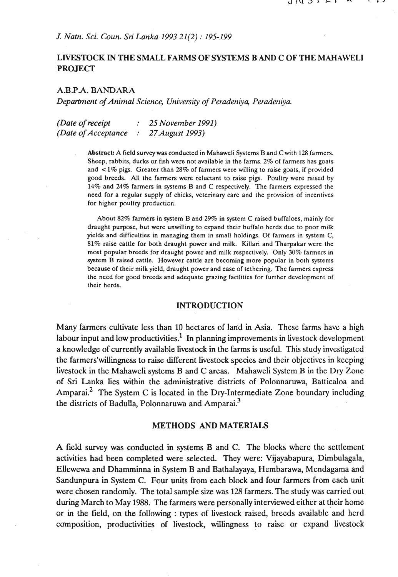## **J.** *Natn. Sci. Coun.* **Sri** *Lanka 1993 21(2)* : *195-199*

# **LIVESTOCK IN THE SMALL FARMS OF SYSTEMS BAND C OF THE MAHAWEL1 PROJECT**

### **A.BJ'A. BANDARA**

*Department of Animal Science, University of Peradeniya, Peradeniya.* 

*(Date of receipt* : *25 November 1991) (Date of Acceptance* : *27August 1993)* 

> Abstract: A field survey was conducted in Mahaweli Systems B and C with 128 farmers. Sheep, rabbits, ducks or fish were not available in the farms. 2% of farmers has goats and < **1%** pigs. Greater than **28%** of farmers were willing to raise goats, if provided good breeds. All the farmers were reluctant to raise pig. Poultry were raised by **14%** and 24% farmers in systems B and C respectively. The fanners expressed the need for a regular supply of chicks, veterinary care and the provision of incentives for higher poultry production.

> About 82% farmers in system B and 29% in system C raised buffaloes, mainly for draught purpose, but were unwilling to expand their buffalo herds due to poor milk yields and difficulties in managing them in small holdings. Of farmers in system C, **81%** raise cattle for both draught power and milk. Killari and Tharpakar were the most popular breeds for draught power and milk respectively. Only 30% farmers in system B raised cattle. However cattle are becoming more popular in both systems because of their milk yield, draught power and ease of tethering. The farmers express the need for good breeds and adequate grazing facilities for further development **of**  their herds.

#### **INTRODUCTION**

Many farmers cultivate less than 10 hectares of land in Asia. These farms have a high labour input and low productivities.<sup>1</sup> In planning improvements in livestock development a knowledge of currently available livestock in the farms is useful. This study investigated the farmers'willingness to raise different livestock species and their objectives in keeping livestock in the Mahaweli systems B and C areas. Mahaweli System B in the Dry Zone of Sri Lanka lies within the administrative districts of Polonnaruwa, Batticaloa and Amparai.<sup>2</sup> The System C is located in the Dry-Intermediate Zone boundary including the districts of Badulla, Polonnaruwa and Amparai. $3$ 

### **METHODS AND MATERIALS**

A field survey was conducted in systems B and C. The blocks where the settlement activities had been completed were selected. They were: Vijayabapura, Dimbulagala, Ellewewa and Dhamminna in System B and Bathalayaya, Hembarawa, Mendagama and Sandunpura in System C. Four units from each block and four farmers from each unit were chosen randomly. The total sample size was 128 farmers. The study was carried out during March to May 1988. The farmers were personally interviewed either at their home or in the field, on the following : types of livestock raised, breeds available and herd composition, productivities of livestock, willingness to raise or expand livestock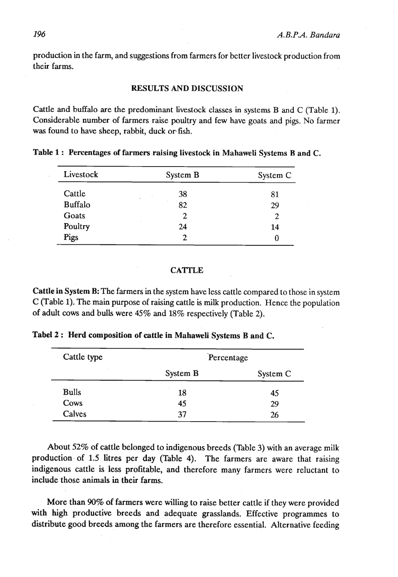production in the farm, and suggestions from farmers for better livestock production from their farms.

### **RESULTS AND DISCUSSION**

Cattle and buffalo are the predominant livestock classes in systems B and C (Table 1). Considerable number of farmers raise poultry and few have goats and pigs. No farmer was found to have sheep, rabbit, duck or fish.

**Table 1** : **Percentages of farmers raising livestock in Mahaweli Systems B and C.** 

| Livestock      | System B           | System C |
|----------------|--------------------|----------|
| Cattle         | 38<br>$\mathbf{r}$ | 81       |
| <b>Buffalo</b> | ٠<br>82            | 29       |
| Goats          | $\mathbf{2}$       | 2        |
| Poultry        | 24                 | 14       |
| Pigs           | 2                  | 0        |

#### **CA'ITLE**

**Cattle in** System **B:** The farmers in the system have less cattle compared to those in system C (Table 1). The main purpose of raising cattle is milk production. Hence the population of adult **cows** and bulls were 45% and 18% respectively (Table 2).

**Tabel 2** : **Herd composition of cattle in Mahaweli** Systems **B and C.** 

| Cattle type  |          | Percentage |  |
|--------------|----------|------------|--|
|              | System B | System C   |  |
| <b>Bulls</b> | 18       | 45         |  |
| Cows         | 45       | 29         |  |
| Calves       | 37       | 26         |  |

About 52% of cattle belonged to indigenous breeds (Table 3) with an average milk production of 1.5 litres per day (Table 4). The farmers are aware that raising indigenous cattle is less profitable, and therefore many farmers were reluctant to include those animals in their farms.

More than 90% of farmers were willing to raise better cattle if they were provided with high productive breeds and adequate grasslands. Effective programmes to distribute good breeds among the farmers are therefore essential. Alternative feeding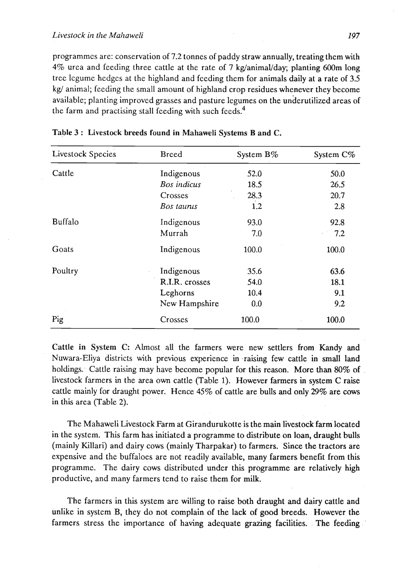programrncs are: conservation of 7.2 tonnes of paddy straw annually, treating them with  $4\%$  urea and feeding three cattle at the rate of 7 kg/animal/day; planting 600m long tree lcgume hedges at the highland and feeding them for animals daily at a rate of **3.5 kg/** animal; feeding the small amount of highland crop residues whenever they become available; planting improved grasses and pasture legumes on the underutilized areas of the farm and practising stall feeding with such feeds. $4$ 

| Livestock Species | <b>Breed</b>   | System B% | System C%                    |
|-------------------|----------------|-----------|------------------------------|
| Cattle            | Indigenous     | 52.0      | 50.0                         |
|                   | Bos indicus    | 18.5      | 26.5                         |
|                   | Crosses        | 28.3      | 20.7                         |
|                   | Bos taurus     | 1.2       | 2.8                          |
| Buffalo           | Indigenous     | 93.0      | 92.8                         |
|                   | Murrah         | 7.0       | 7.2<br>$\epsilon$ , $\gamma$ |
| Goats             | Indigenous     | 100.0     | 100.0                        |
| Poultry           | Indigenous     | 35.6      | 63.6                         |
|                   | R.I.R. crosses | 54.0      | 18.1                         |
|                   | Leghorns       | 10.4      | 9.1                          |
|                   | New Hampshire  | 0.0       | 9.2                          |
| Pig               | Crosses        | 100.0     | 100.0                        |

Table 3 : Livestock breeds found in Mahaweli Systems B and C.

Cattle in System C: Almost all the farmers were new settlers from Kandy and Nuwara-Eliya districts with previous experience in -raising few cattle in small land holdings. Cattle raising may have become popular for this reason. More than 80% of livestock farmers in the area own cattle (Table 1). However farmers in system C raise cattle mainly for draught power. Hence 45% of cattle are bulls and only 29% are cows in this area (Table 2).

The Mahaweli Livestock Farm at Girandurukotte is the main livestock farm located in the system. This farm has initiated a programme to distribute on loan, draught bulls (mainly Killari) and dairy cows (mainly Tharpakar) to farmers. Since the tractors are expensive and the buffaloes are not readily available, many farmers benefit from this programme. The dairy cows distributed under this programme are relatively high productive, and many farmers tend to raise them for milk.

The farmers in this system are willing to raise both draught and dairy cattle and unlike in system B, they do not complain of the lack of good breeds. However the farmers stress the importance of having adequate grazing facilities. The feeding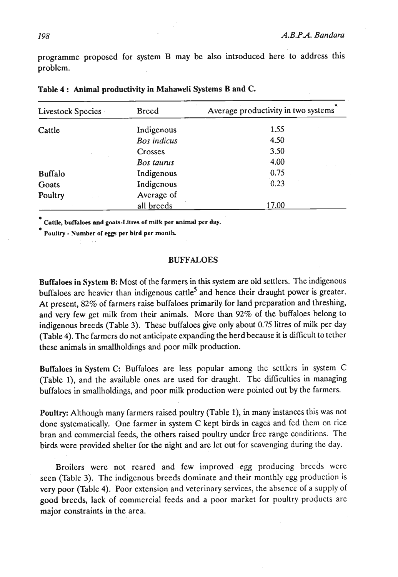programme proposed for system B may be also introduced here to address this problem.

| Livestock Species | <b>Breed</b>       | Average productivity in two systems |
|-------------------|--------------------|-------------------------------------|
| Cattle            | Indigenous         | 1.55                                |
|                   | <b>Bos</b> indicus | 4.50                                |
|                   | Crosses            | 3.50                                |
|                   | Bos taurus         | 4.00                                |
| <b>Buffalo</b>    | Indigenous         | 0.75                                |
| Goats             | Indigenous         | 0.23                                |
| Poultry           | Average of         |                                     |
|                   | all breeds         | 17.00                               |

Table 4 : Animal productivity in Mahaweli Systems B and C.

**Olltk, buffaloes and gooh-Litres of milk per animal per day.** 

**Puully** - **Number ot per bird per month** 

#### **BUFFALOES**

Buffaloes in System B: Most of the farmers in this system are old settlers. The indigenous buffaloes are heavier than indigenous cattle<sup>5</sup> and hence their draught power is greater. At present, 82% of farmers raise buffaloes primarily. for land preparation and threshing, and very few get milk from their animals. More than 92% of the buffaloes belong to indigenous breeds (Table **3).** These buffaloes give only about **0.75** litres of milk per day (Table 4). The farmers do not anticipate expanding the herd because it is dificult to tether these animals in smallholdings and poor milk production.

Buffaloes in System C: Buffaloes are less popular among the settlers in system C (Table I), and the available ones are used for draught. The difficulties in managing buffaloes in smdlholdings, and poor **milk** production were pointed out by the farmers.

Poultry: Although many farmers raised poultry (Table **I),** in many instances this was not done systematically. One farmer in system C kept **buds** in cages and fed them on rice bran and commercial feeds, the others raised poultry under free range conditions. The birds were provided shelter for the night and are let out for scavenging during the day.

Broilers were not reared and few improved egg producing breeds were seen (Table **3).** The indigenous breeds dominate and their monthly egg production is very poor (Table **4).** Poor extension and veterinary services, the absence of a supply of good breeds, lack of commercial feeds and a poor market for poultry products are major constraints in the area.